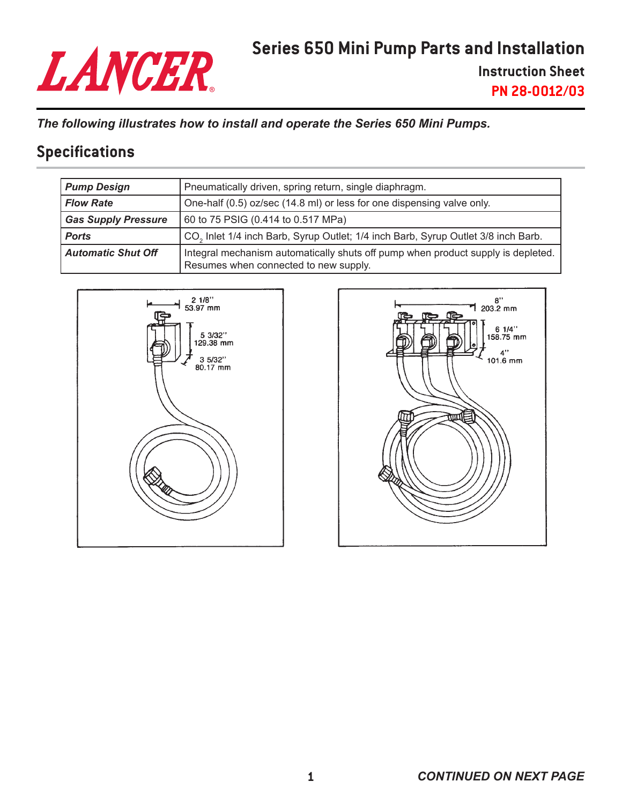# LANCER

**Instruction Sheet PN 28-0012/03**

*The following illustrates how to install and operate the Series 650 Mini Pumps.*

### **Specifications**

| <b>Pump Design</b>         | Pneumatically driven, spring return, single diaphragm.                                                                    |  |
|----------------------------|---------------------------------------------------------------------------------------------------------------------------|--|
| <b>Flow Rate</b>           | One-half (0.5) oz/sec (14.8 ml) or less for one dispensing valve only.                                                    |  |
| <b>Gas Supply Pressure</b> | 60 to 75 PSIG (0.414 to 0.517 MPa)                                                                                        |  |
| <b>Ports</b>               | CO <sub>2</sub> Inlet 1/4 inch Barb, Syrup Outlet; 1/4 inch Barb, Syrup Outlet 3/8 inch Barb.                             |  |
| <b>Automatic Shut Off</b>  | Integral mechanism automatically shuts off pump when product supply is depleted.<br>Resumes when connected to new supply. |  |



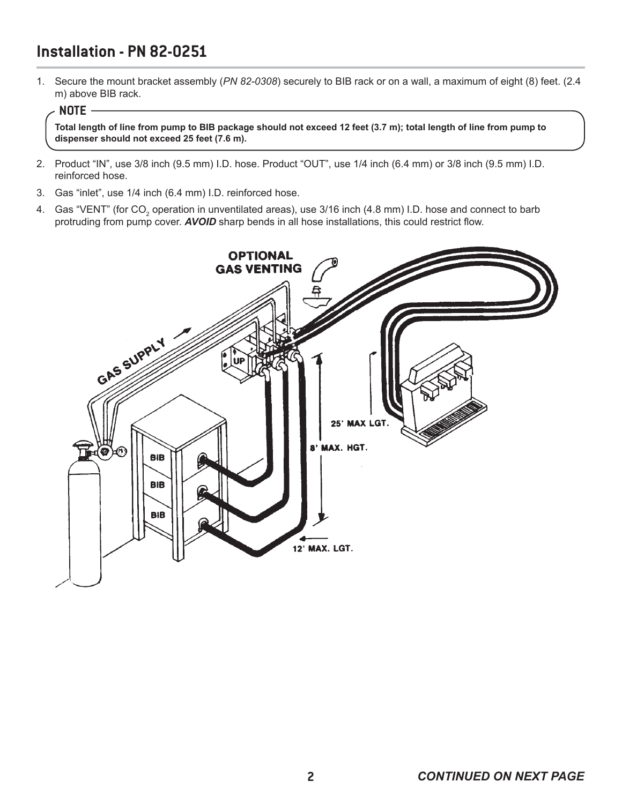# **Installation - PN 82-0251**

1. Secure the mount bracket assembly (*PN 82-0308*) securely to BIB rack or on a wall, a maximum of eight (8) feet. (2.4 m) above BIB rack.

#### **NOTE**

**Total length of line from pump to BIB package should not exceed 12 feet (3.7 m); total length of line from pump to dispenser should not exceed 25 feet (7.6 m).**

- 2. Product "IN", use 3/8 inch (9.5 mm) I.D. hose. Product "OUT", use 1/4 inch (6.4 mm) or 3/8 inch (9.5 mm) I.D. reinforced hose.
- 3. Gas "inlet", use 1/4 inch (6.4 mm) I.D. reinforced hose.
- 4.  $\,$  Gas "VENT" (for CO $_{2}$  operation in unventilated areas), use 3/16 inch (4.8 mm) I.D. hose and connect to barb protruding from pump cover. *AVOID* sharp bends in all hose installations, this could restrict flow.

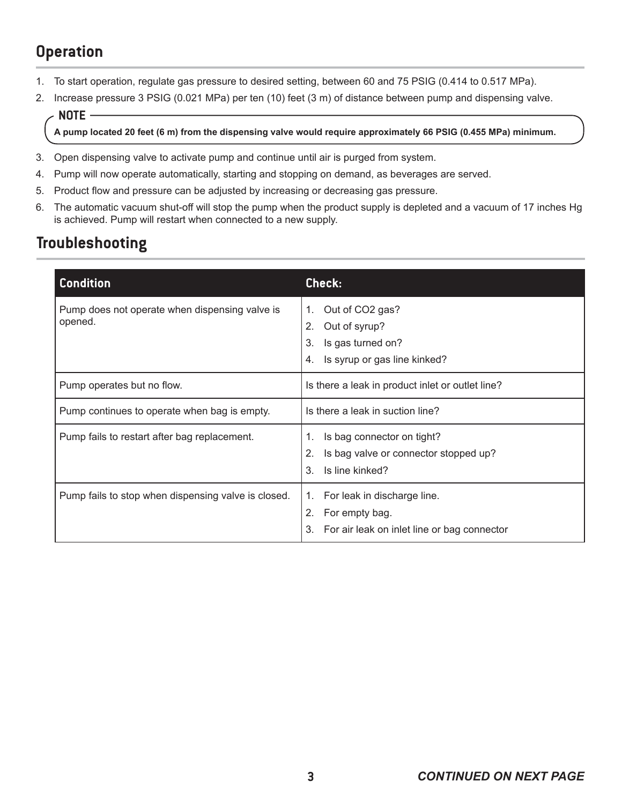# **Operation**

- 1. To start operation, regulate gas pressure to desired setting, between 60 and 75 PSIG (0.414 to 0.517 MPa).
- 2. Increase pressure 3 PSIG (0.021 MPa) per ten (10) feet (3 m) of distance between pump and dispensing valve.

#### **NOTE**

**A pump located 20 feet (6 m) from the dispensing valve would require approximately 66 PSIG (0.455 MPa) minimum.** 

- 3. Open dispensing valve to activate pump and continue until air is purged from system.
- 4. Pump will now operate automatically, starting and stopping on demand, as beverages are served.
- 5. Product flow and pressure can be adjusted by increasing or decreasing gas pressure.
- 6. The automatic vacuum shut-off will stop the pump when the product supply is depleted and a vacuum of 17 inches Hg is achieved. Pump will restart when connected to a new supply.

# **Troubleshooting**

| <b>Condition</b>                                          | Check:                                                                                                        |
|-----------------------------------------------------------|---------------------------------------------------------------------------------------------------------------|
| Pump does not operate when dispensing valve is<br>opened. | Out of CO2 gas?<br>1.<br>Out of syrup?<br>2.<br>Is gas turned on?<br>3.<br>Is syrup or gas line kinked?<br>4. |
| Pump operates but no flow.                                | Is there a leak in product inlet or outlet line?                                                              |
| Pump continues to operate when bag is empty.              | Is there a leak in suction line?                                                                              |
| Pump fails to restart after bag replacement.              | Is bag connector on tight?<br>1.<br>Is bag valve or connector stopped up?<br>2.<br>Is line kinked?<br>3.      |
| Pump fails to stop when dispensing valve is closed.       | For leak in discharge line.<br>1.<br>2.<br>For empty bag.<br>For air leak on inlet line or bag connector      |